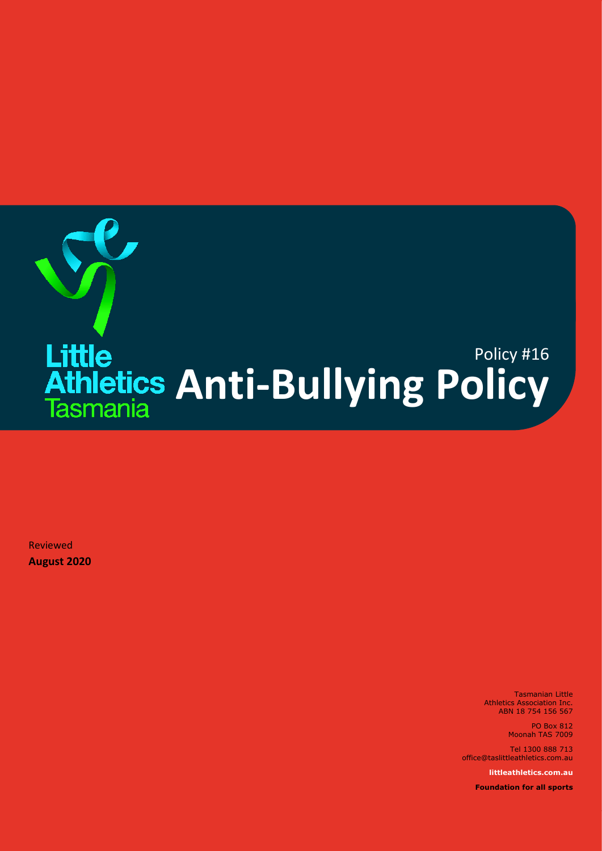

Reviewed **August 2020**

> Tasmanian Little Athletics Association Inc. ABN 18 754 156 567

> > PO Box 812 Moonah TAS 7009

Tel 1300 888 713 office@taslittleathletics.com.au

**littleathletics.com.au**

**Foundation for all sports**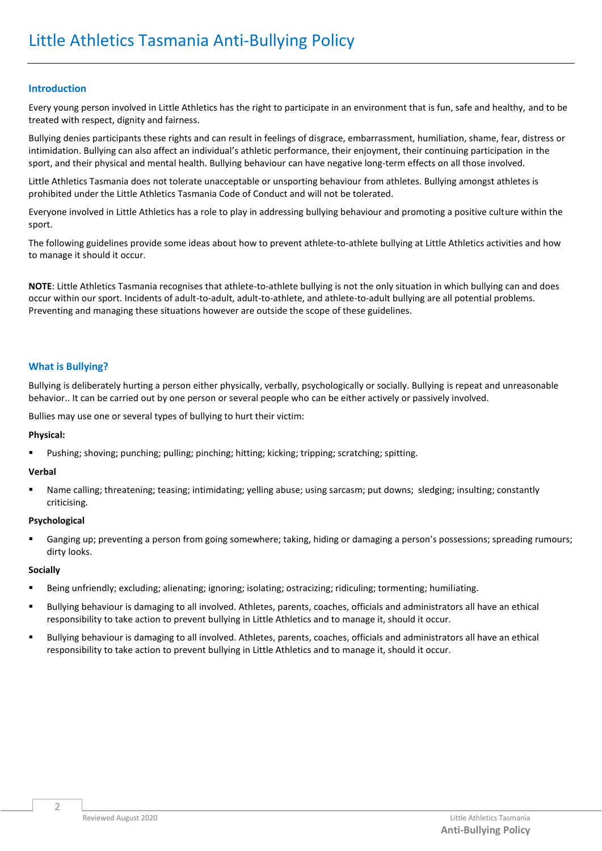# **Introduction**

Every young person involved in Little Athletics has the right to participate in an environment that is fun, safe and healthy, and to be treated with respect, dignity and fairness.

Bullying denies participants these rights and can result in feelings of disgrace, embarrassment, humiliation, shame, fear, distress or intimidation. Bullying can also affect an individual's athletic performance, their enjoyment, their continuing participation in the sport, and their physical and mental health. Bullying behaviour can have negative long-term effects on all those involved.

Little Athletics Tasmania does not tolerate unacceptable or unsporting behaviour from athletes. Bullying amongst athletes is prohibited under the Little Athletics Tasmania Code of Conduct and will not be tolerated.

Everyone involved in Little Athletics has a role to play in addressing bullying behaviour and promoting a positive culture within the sport.

The following guidelines provide some ideas about how to prevent athlete-to-athlete bullying at Little Athletics activities and how to manage it should it occur.

**NOTE**: Little Athletics Tasmania recognises that athlete-to-athlete bullying is not the only situation in which bullying can and does occur within our sport. Incidents of adult-to-adult, adult-to-athlete, and athlete-to-adult bullying are all potential problems. Preventing and managing these situations however are outside the scope of these guidelines.

# **What is Bullying?**

Bullying is deliberately hurting a person either physically, verbally, psychologically or socially. Bullying is repeat and unreasonable behavior.. It can be carried out by one person or several people who can be either actively or passively involved.

Bullies may use one or several types of bullying to hurt their victim:

## **Physical:**

Pushing; shoving; punching; pulling; pinching; hitting; kicking; tripping; scratching; spitting.

## **Verbal**

Name calling; threatening; teasing; intimidating; yelling abuse; using sarcasm; put downs; sledging; insulting; constantly criticising.

## **Psychological**

Ganging up; preventing a person from going somewhere; taking, hiding or damaging a person's possessions; spreading rumours; dirty looks.

## **Socially**

- Being unfriendly; excluding; alienating; ignoring; isolating; ostracizing; ridiculing; tormenting; humiliating.
- Bullying behaviour is damaging to all involved. Athletes, parents, coaches, officials and administrators all have an ethical responsibility to take action to prevent bullying in Little Athletics and to manage it, should it occur.
- Bullying behaviour is damaging to all involved. Athletes, parents, coaches, officials and administrators all have an ethical responsibility to take action to prevent bullying in Little Athletics and to manage it, should it occur.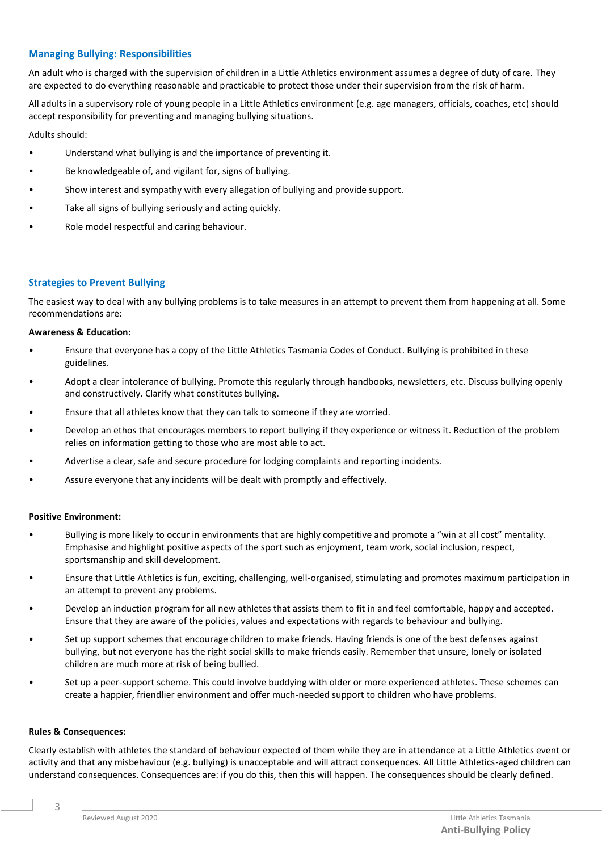## **Managing Bullying: Responsibilities**

An adult who is charged with the supervision of children in a Little Athletics environment assumes a degree of duty of care. They are expected to do everything reasonable and practicable to protect those under their supervision from the risk of harm.

All adults in a supervisory role of young people in a Little Athletics environment (e.g. age managers, officials, coaches, etc) should accept responsibility for preventing and managing bullying situations.

Adults should:

- Understand what bullying is and the importance of preventing it.
- Be knowledgeable of, and vigilant for, signs of bullying.
- Show interest and sympathy with every allegation of bullying and provide support.
- Take all signs of bullying seriously and acting quickly.
- Role model respectful and caring behaviour.

## **Strategies to Prevent Bullying**

The easiest way to deal with any bullying problems is to take measures in an attempt to prevent them from happening at all. Some recommendations are:

#### **Awareness & Education:**

- Ensure that everyone has a copy of the Little Athletics Tasmania Codes of Conduct. Bullying is prohibited in these guidelines.
- Adopt a clear intolerance of bullying. Promote this regularly through handbooks, newsletters, etc. Discuss bullying openly and constructively. Clarify what constitutes bullying.
- Ensure that all athletes know that they can talk to someone if they are worried.
- Develop an ethos that encourages members to report bullying if they experience or witness it. Reduction of the problem relies on information getting to those who are most able to act.
- Advertise a clear, safe and secure procedure for lodging complaints and reporting incidents.
- Assure everyone that any incidents will be dealt with promptly and effectively.

#### **Positive Environment:**

- Bullying is more likely to occur in environments that are highly competitive and promote a "win at all cost" mentality. Emphasise and highlight positive aspects of the sport such as enjoyment, team work, social inclusion, respect, sportsmanship and skill development.
- Ensure that Little Athletics is fun, exciting, challenging, well-organised, stimulating and promotes maximum participation in an attempt to prevent any problems.
- Develop an induction program for all new athletes that assists them to fit in and feel comfortable, happy and accepted. Ensure that they are aware of the policies, values and expectations with regards to behaviour and bullying.
- Set up support schemes that encourage children to make friends. Having friends is one of the best defenses against bullying, but not everyone has the right social skills to make friends easily. Remember that unsure, lonely or isolated children are much more at risk of being bullied.
- Set up a peer-support scheme. This could involve buddying with older or more experienced athletes. These schemes can create a happier, friendlier environment and offer much-needed support to children who have problems.

#### **Rules & Consequences:**

Clearly establish with athletes the standard of behaviour expected of them while they are in attendance at a Little Athletics event or activity and that any misbehaviour (e.g. bullying) is unacceptable and will attract consequences. All Little Athletics-aged children can understand consequences. Consequences are: if you do this, then this will happen. The consequences should be clearly defined.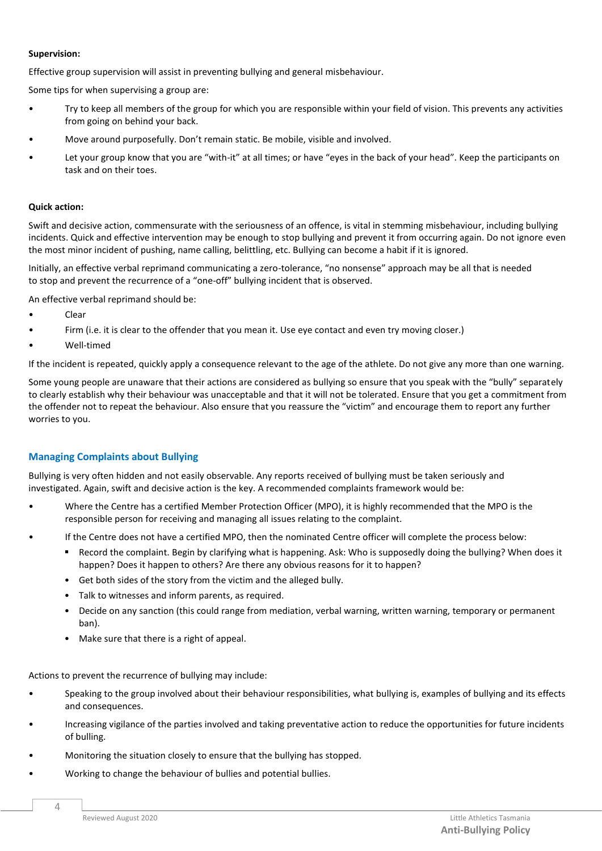## **Supervision:**

Effective group supervision will assist in preventing bullying and general misbehaviour.

Some tips for when supervising a group are:

- Try to keep all members of the group for which you are responsible within your field of vision. This prevents any activities from going on behind your back.
- Move around purposefully. Don't remain static. Be mobile, visible and involved.
- Let your group know that you are "with-it" at all times; or have "eyes in the back of your head". Keep the participants on task and on their toes.

## **Quick action:**

Swift and decisive action, commensurate with the seriousness of an offence, is vital in stemming misbehaviour, including bullying incidents. Quick and effective intervention may be enough to stop bullying and prevent it from occurring again. Do not ignore even the most minor incident of pushing, name calling, belittling, etc. Bullying can become a habit if it is ignored.

Initially, an effective verbal reprimand communicating a zero-tolerance, "no nonsense" approach may be all that is needed to stop and prevent the recurrence of a "one-off" bullying incident that is observed.

An effective verbal reprimand should be:

- Clear
- Firm (i.e. it is clear to the offender that you mean it. Use eye contact and even try moving closer.)
- Well-timed

If the incident is repeated, quickly apply a consequence relevant to the age of the athlete. Do not give any more than one warning.

Some young people are unaware that their actions are considered as bullying so ensure that you speak with the "bully" separately to clearly establish why their behaviour was unacceptable and that it will not be tolerated. Ensure that you get a commitment from the offender not to repeat the behaviour. Also ensure that you reassure the "victim" and encourage them to report any further worries to you.

# **Managing Complaints about Bullying**

Bullying is very often hidden and not easily observable. Any reports received of bullying must be taken seriously and investigated. Again, swift and decisive action is the key. A recommended complaints framework would be:

- Where the Centre has a certified Member Protection Officer (MPO), it is highly recommended that the MPO is the responsible person for receiving and managing all issues relating to the complaint.
- If the Centre does not have a certified MPO, then the nominated Centre officer will complete the process below:
	- Record the complaint. Begin by clarifying what is happening. Ask: Who is supposedly doing the bullying? When does it happen? Does it happen to others? Are there any obvious reasons for it to happen?
	- Get both sides of the story from the victim and the alleged bully.
	- Talk to witnesses and inform parents, as required.
	- Decide on any sanction (this could range from mediation, verbal warning, written warning, temporary or permanent ban).
	- Make sure that there is a right of appeal.

Actions to prevent the recurrence of bullying may include:

- Speaking to the group involved about their behaviour responsibilities, what bullying is, examples of bullying and its effects and consequences.
- Increasing vigilance of the parties involved and taking preventative action to reduce the opportunities for future incidents of bulling.
- Monitoring the situation closely to ensure that the bullying has stopped.
- Working to change the behaviour of bullies and potential bullies.